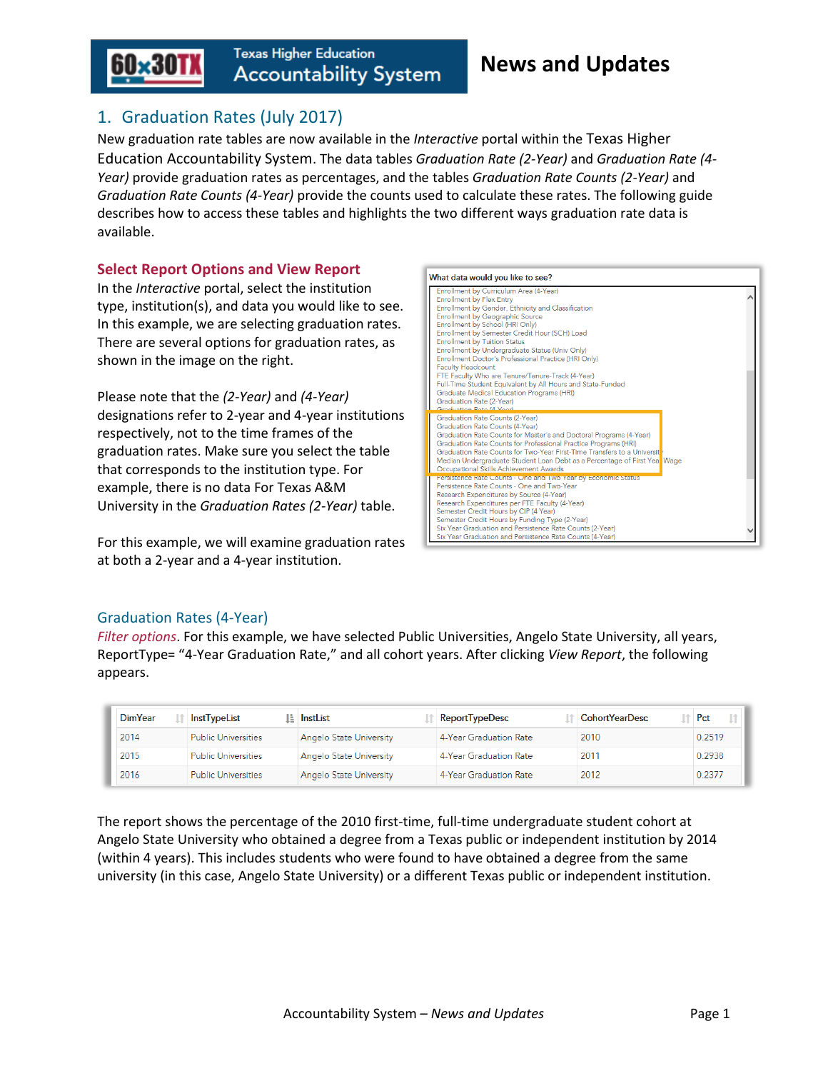

# 1. Graduation Rates (July 2017)

New graduation rate tables are now available in the *Interactive* portal within the Texas Higher Education Accountability System. The data tables *Graduation Rate (2-Year)* and *Graduation Rate (4- Year)* provide graduation rates as percentages, and the tables *Graduation Rate Counts (2-Year)* and *Graduation Rate Counts (4-Year)* provide the counts used to calculate these rates. The following guide describes how to access these tables and highlights the two different ways graduation rate data is available.

#### **Select Report Options and View Report**

In the *Interactive* portal, select the institution type, institution(s), and data you would like to see. In this example, we are selecting graduation rates. There are several options for graduation rates, as shown in the image on the right.

Please note that the *(2-Year)* and *(4-Year)* designations refer to 2-year and 4-year institutions respectively, not to the time frames of the graduation rates. Make sure you select the table that corresponds to the institution type. For example, there is no data For Texas A&M University in the *Graduation Rates (2-Year)* table.

For this example, we will examine graduation rates at both a 2-year and a 4-year institution.



#### Graduation Rates (4-Year)

*Filter options*. For this example, we have selected Public Universities, Angelo State University, all years, ReportType= "4-Year Graduation Rate," and all cohort years. After clicking *View Report*, the following appears.

| <b>DimYear</b>                     | <b>InstTypeList</b>        | <b>Li</b> InstList             | <b>ReportTypeDesc</b>  | <b>CohortYearDesc</b> | Pct    |
|------------------------------------|----------------------------|--------------------------------|------------------------|-----------------------|--------|
| 2014                               | <b>Public Universities</b> | <b>Angelo State University</b> | 4-Year Graduation Rate | 2010                  | 0.2519 |
| 2015                               | <b>Public Universities</b> | <b>Angelo State University</b> | 4-Year Graduation Rate | 2011                  | 0.2938 |
| 2016<br><b>Public Universities</b> |                            | <b>Angelo State University</b> | 4-Year Graduation Rate | 2012                  | 0.2377 |

The report shows the percentage of the 2010 first-time, full-time undergraduate student cohort at Angelo State University who obtained a degree from a Texas public or independent institution by 2014 (within 4 years). This includes students who were found to have obtained a degree from the same university (in this case, Angelo State University) or a different Texas public or independent institution.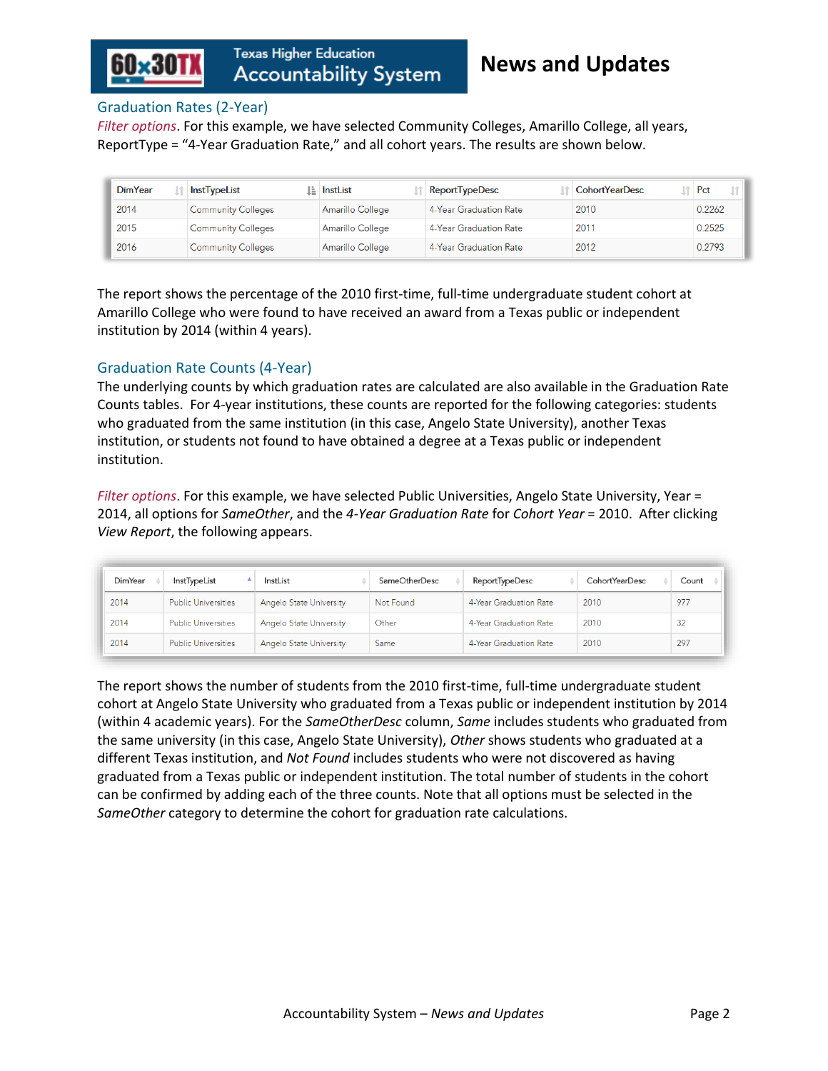

#### Graduation Rates (2-Year)

*Filter options*. For this example, we have selected Community Colleges, Amarillo College, all years, ReportType = "4-Year Graduation Rate," and all cohort years. The results are shown below.

| <b>DimYear</b> | InstTypeList              | Li InstList      | <b>ReportTypeDesc</b>  | <b>CohortYearDesc</b> | Pct    |
|----------------|---------------------------|------------------|------------------------|-----------------------|--------|
| 2014           | <b>Community Colleges</b> | Amarillo College | 4-Year Graduation Rate | 2010                  | 0.2262 |
| 2015           | <b>Community Colleges</b> | Amarillo College | 4-Year Graduation Rate | 2011                  | 0.2525 |
| 2016           | <b>Community Colleges</b> | Amarillo College | 4-Year Graduation Rate | 2012                  | 0.2793 |

The report shows the percentage of the 2010 first-time, full-time undergraduate student cohort at Amarillo College who were found to have received an award from a Texas public or independent institution by 2014 (within 4 years).

#### Graduation Rate Counts (4-Year)

The underlying counts by which graduation rates are calculated are also available in the Graduation Rate Counts tables. For 4-year institutions, these counts are reported for the following categories: students who graduated from the same institution (in this case, Angelo State University), another Texas institution, or students not found to have obtained a degree at a Texas public or independent institution.

*Filter options*. For this example, we have selected Public Universities, Angelo State University, Year = 2014, all options for *SameOther*, and the *4-Year Graduation Rate* for *Cohort Year* = 2010. After clicking *View Report*, the following appears.

| <b>DimYear</b> | InstTypeList               | InstList                       | SameOtherDesc | <b>ReportTypeDesc</b>  | <b>CohortYearDesc</b> | Count |
|----------------|----------------------------|--------------------------------|---------------|------------------------|-----------------------|-------|
| 2014           | <b>Public Universities</b> | <b>Angelo State University</b> | Not Found     | 4-Year Graduation Rate | 2010                  | 977   |
| 2014           | <b>Public Universities</b> | Angelo State University        | Other         | 4-Year Graduation Rate | 2010                  | 32    |
| 2014           | <b>Public Universities</b> | <b>Angelo State University</b> | Same          | 4-Year Graduation Rate | 2010                  | 297   |

The report shows the number of students from the 2010 first-time, full-time undergraduate student cohort at Angelo State University who graduated from a Texas public or independent institution by 2014 (within 4 academic years). For the *SameOtherDesc* column, *Same* includes students who graduated from the same university (in this case, Angelo State University), *Other* shows students who graduated at a different Texas institution, and *Not Found* includes students who were not discovered as having graduated from a Texas public or independent institution. The total number of students in the cohort can be confirmed by adding each of the three counts. Note that all options must be selected in the *SameOther* category to determine the cohort for graduation rate calculations.